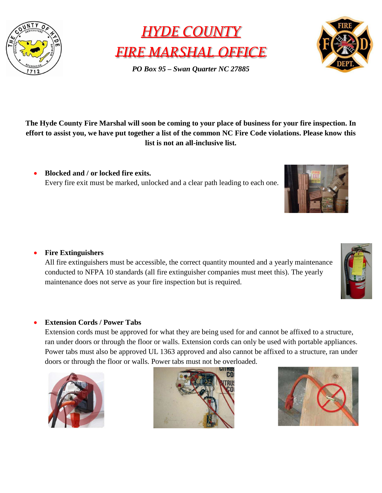



*PO Box 95 – Swan Quarter NC 27885*



**The Hyde County Fire Marshal will soon be coming to your place of business for your fire inspection. In effort to assist you, we have put together a list of the common NC Fire Code violations. Please know this list is not an all-inclusive list.**

• **Blocked and / or locked fire exits.** Every fire exit must be marked, unlocked and a clear path leading to each one.



All fire extinguishers must be accessible, the correct quantity mounted and a yearly maintenance conducted to NFPA 10 standards (all fire extinguisher companies must meet this). The yearly maintenance does not serve as your fire inspection but is required.

## • **Extension Cords / Power Tabs**

Extension cords must be approved for what they are being used for and cannot be affixed to a structure, ran under doors or through the floor or walls. Extension cords can only be used with portable appliances. Power tabs must also be approved UL 1363 approved and also cannot be affixed to a structure, ran under doors or through the floor or walls. Power tabs must not be overloaded.